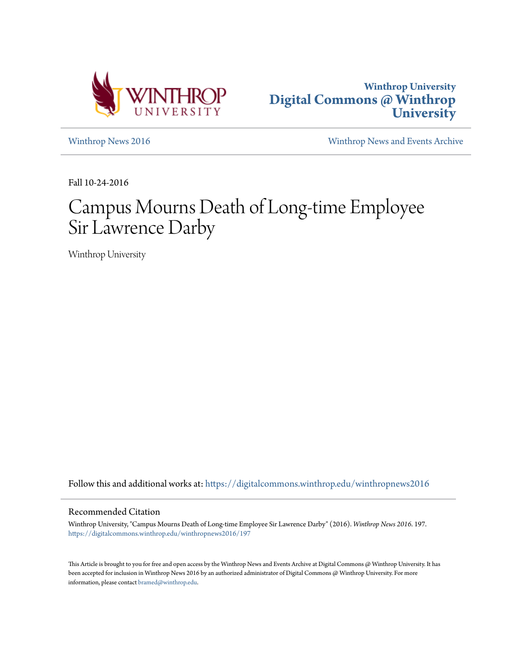



[Winthrop News 2016](https://digitalcommons.winthrop.edu/winthropnews2016?utm_source=digitalcommons.winthrop.edu%2Fwinthropnews2016%2F197&utm_medium=PDF&utm_campaign=PDFCoverPages) [Winthrop News and Events Archive](https://digitalcommons.winthrop.edu/winthropnewsarchives?utm_source=digitalcommons.winthrop.edu%2Fwinthropnews2016%2F197&utm_medium=PDF&utm_campaign=PDFCoverPages)

Fall 10-24-2016

# Campus Mourns Death of Long-time Employee Sir Lawrence Darby

Winthrop University

Follow this and additional works at: [https://digitalcommons.winthrop.edu/winthropnews2016](https://digitalcommons.winthrop.edu/winthropnews2016?utm_source=digitalcommons.winthrop.edu%2Fwinthropnews2016%2F197&utm_medium=PDF&utm_campaign=PDFCoverPages)

### Recommended Citation

Winthrop University, "Campus Mourns Death of Long-time Employee Sir Lawrence Darby" (2016). *Winthrop News 2016*. 197. [https://digitalcommons.winthrop.edu/winthropnews2016/197](https://digitalcommons.winthrop.edu/winthropnews2016/197?utm_source=digitalcommons.winthrop.edu%2Fwinthropnews2016%2F197&utm_medium=PDF&utm_campaign=PDFCoverPages)

This Article is brought to you for free and open access by the Winthrop News and Events Archive at Digital Commons @ Winthrop University. It has been accepted for inclusion in Winthrop News 2016 by an authorized administrator of Digital Commons @ Winthrop University. For more information, please contact [bramed@winthrop.edu](mailto:bramed@winthrop.edu).